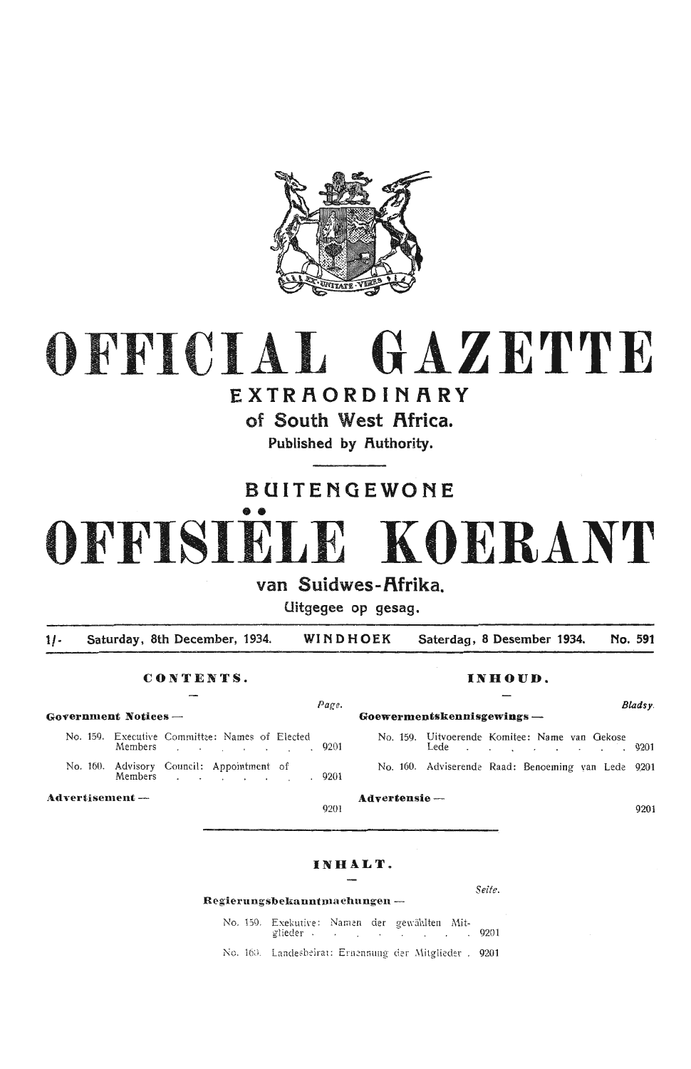

# OFFICIAL **GAZETTE**

## EXTRAQRDINARY

of South West Africa.

Published by Authority.

## BUITENGEWONE

## •• OFFISIELE **KOERANT**

## van Suidwes-Afrika.

Uitgegee op gesag.

1/- Saturday, 8th December, 1934. **WINDHOEK Saterdag, 8 Desember 1934. No. 591** 

#### **C ONT ENT S. INHOUD.**

**Government Notices —** 

No. 159. Executive Committee: Names of Elected No. 159. Uitvoerende Komitee: Name van Gekose<br>Members 19201 Lede No. 160. Advisory Council: Appointment of

Members 9201  $\sim$  $\sim$  $\sim$  $\sim$ 

**Advertisement —**  $\overline{a}$  **<b>Advertensie** —  $\overline{a}$  9201

| Page.                                      |                                                            | Bladsy. |
|--------------------------------------------|------------------------------------------------------------|---------|
| $\overline{\phantom{a}}$                   | $Goewermentskenn isgewings -$                              |         |
| Committee: Names of Elected<br>$\sim$ 0201 | No. 159. Uitvoerende Komitee: Name van Gekose<br>Lede 9201 |         |
| Council: Appointment of<br>9201            | No. 160. Adviserende Raad: Benoeming van Lede 9201         |         |

#### **I N HALT.**

#### $\textbf{Regierungsbekauntmachungen}-\textbf{1}$

*Seite.* 

No. 159. Exekutive: Namen der gewählten Mitglieder . . . . . . . . . . . . . . . . 9201

No. 160. Landesbeirat: Ernennung der Mitglieder . 9201